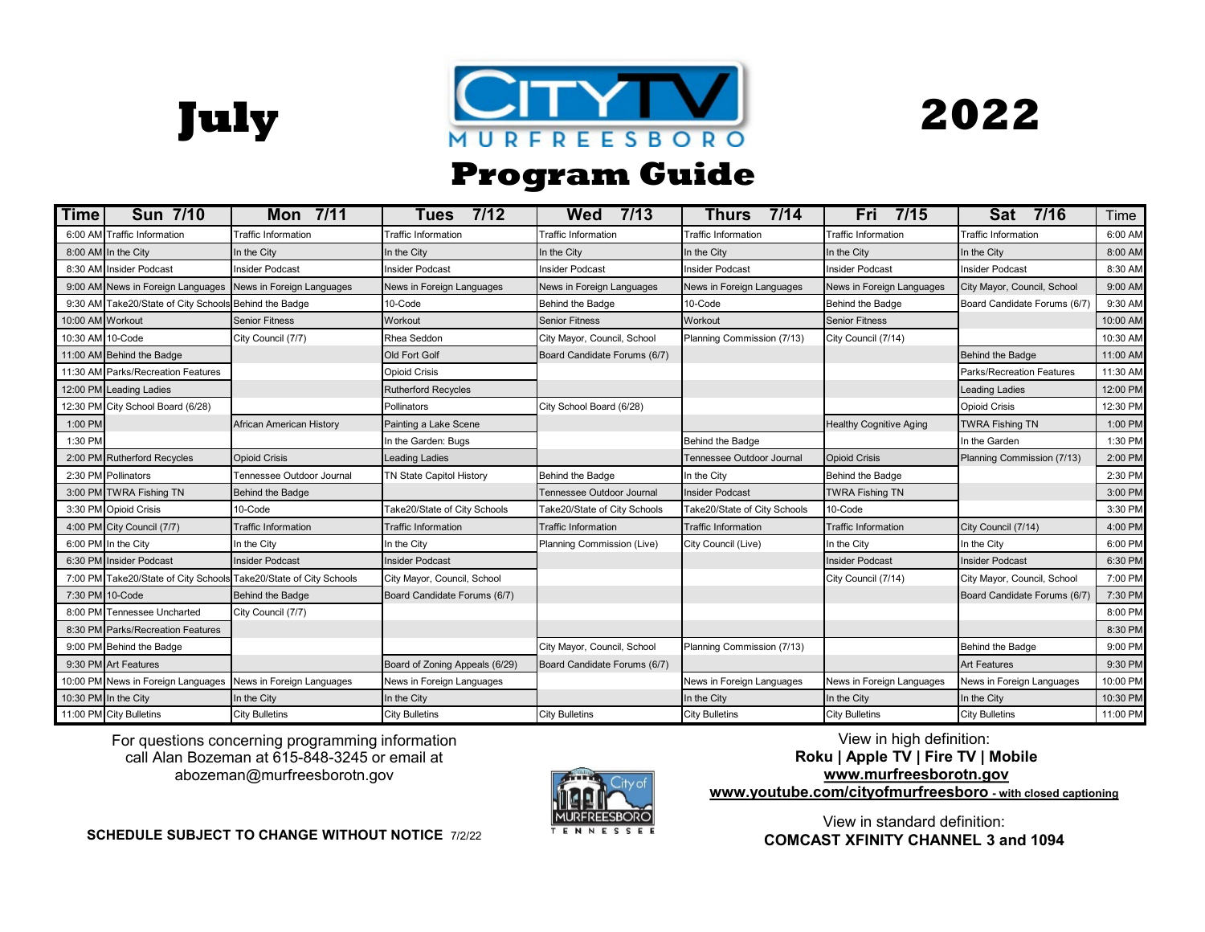**July**





## \* **Program Guide**

| Time             | <b>Sun 7/10</b>                                       | Mon 7/11                                                          | 7/12<br>Tues                    | 7/13<br>Wed                  | 7/14<br>Thurs                | Fri<br>7/15                    | Sat<br>7/16                  | Time     |
|------------------|-------------------------------------------------------|-------------------------------------------------------------------|---------------------------------|------------------------------|------------------------------|--------------------------------|------------------------------|----------|
|                  | 6:00 AM Traffic Information                           | Traffic Information                                               | <b>Fraffic Information</b>      | <b>Traffic Information</b>   | Traffic Information          | raffic Information             | <b>Traffic Information</b>   | 6:00 AM  |
|                  | 8:00 AM In the City                                   | In the City                                                       | In the City                     | In the City                  | In the City                  | In the City                    | In the City                  | 8:00 AM  |
|                  | 8:30 AM Insider Podcast                               | nsider Podcast                                                    | Insider Podcast                 | Insider Podcast              | <b>Insider Podcast</b>       | <b>Insider Podcast</b>         | Insider Podcast              | 8:30 AM  |
|                  | 9:00 AM News in Foreign Languages                     | News in Foreign Languages                                         | News in Foreign Languages       | News in Foreign Languages    | News in Foreign Languages    | News in Foreign Languages      | City Mayor, Council, School  | 9:00 AM  |
|                  | 9:30 AM Take20/State of City Schools Behind the Badge |                                                                   | 10-Code                         | Behind the Badge             | 10-Code                      | Behind the Badge               | Board Candidate Forums (6/7) | 9:30 AM  |
| 10:00 AM Workout |                                                       | <b>Senior Fitness</b>                                             | Workout                         | <b>Senior Fitness</b>        | Workout                      | <b>Senior Fitness</b>          |                              | 10:00 AM |
| 10:30 AM 10-Code |                                                       | City Council (7/7)                                                | Rhea Seddon                     | City Mayor, Council, School  | Planning Commission (7/13)   | City Council (7/14)            |                              | 10:30 AM |
|                  | 11:00 AM Behind the Badge                             |                                                                   | Old Fort Golf                   | Board Candidate Forums (6/7) |                              |                                | Behind the Badge             | 11:00 AM |
|                  | 11:30 AM Parks/Recreation Features                    |                                                                   | <b>Opioid Crisis</b>            |                              |                              |                                | Parks/Recreation Features    | 11:30 AM |
|                  | 12:00 PM Leading Ladies                               |                                                                   | <b>Rutherford Recycles</b>      |                              |                              |                                | <b>Leading Ladies</b>        | 12:00 PM |
|                  | 12:30 PM City School Board (6/28)                     |                                                                   | Pollinators                     | City School Board (6/28)     |                              |                                | <b>Opioid Crisis</b>         | 12:30 PM |
| 1:00 PM          |                                                       | African American History                                          | Painting a Lake Scene           |                              |                              | <b>Healthy Cognitive Aging</b> | <b>TWRA Fishing TN</b>       | 1:00 PM  |
| 1:30 PM          |                                                       |                                                                   | In the Garden: Bugs             |                              | Behind the Badge             |                                | In the Garden                | 1:30 PM  |
|                  | 2:00 PM Rutherford Recycles                           | <b>Opioid Crisis</b>                                              | <b>Leading Ladies</b>           |                              | Tennessee Outdoor Journal    | <b>Opioid Crisis</b>           | Planning Commission (7/13)   | 2:00 PM  |
|                  | 2:30 PM Pollinators                                   | Tennessee Outdoor Journal                                         | <b>TN State Capitol History</b> | <b>Behind the Badge</b>      | In the City                  | <b>Behind the Badge</b>        |                              | 2:30 PM  |
|                  | 3:00 PM TWRA Fishing TN                               | Behind the Badge                                                  |                                 | Tennessee Outdoor Journal    | <b>Insider Podcast</b>       | <b>TWRA Fishing TN</b>         |                              | 3:00 PM  |
|                  | 3:30 PM Opioid Crisis                                 | 10-Code                                                           | Take20/State of City Schools    | Take20/State of City Schools | Take20/State of City Schools | 10-Code                        |                              | 3:30 PM  |
|                  | 4:00 PM City Council (7/7)                            | <b>Traffic Information</b>                                        | <b>Traffic Information</b>      | <b>Traffic Information</b>   | <b>Traffic Information</b>   | <b>Traffic Information</b>     | City Council (7/14)          | 4:00 PM  |
|                  | 6:00 PM In the City                                   | In the City                                                       | In the City                     | Planning Commission (Live)   | City Council (Live)          | In the City                    | In the City                  | 6:00 PM  |
|                  | 6:30 PM Insider Podcast                               | <b>Insider Podcast</b>                                            | <b>Insider Podcast</b>          |                              |                              | <b>Insider Podcast</b>         | <b>Insider Podcast</b>       | 6:30 PM  |
|                  |                                                       | 7:00 PM Take20/State of City Schools Take20/State of City Schools | City Mayor, Council, School     |                              |                              | City Council (7/14)            | City Mayor, Council, School  | 7:00 PM  |
|                  | 7:30 PM 10-Code                                       | Behind the Badge                                                  | Board Candidate Forums (6/7)    |                              |                              |                                | Board Candidate Forums (6/7) | 7:30 PM  |
|                  | 8:00 PM Tennessee Uncharted                           | City Council (7/7)                                                |                                 |                              |                              |                                |                              | 8:00 PM  |
|                  | 8:30 PM Parks/Recreation Features                     |                                                                   |                                 |                              |                              |                                |                              | 8:30 PM  |
|                  | 9:00 PM Behind the Badge                              |                                                                   |                                 | City Mayor, Council, School  | Planning Commission (7/13)   |                                | Behind the Badge             | 9:00 PM  |
|                  | 9:30 PM Art Features                                  |                                                                   | Board of Zoning Appeals (6/29)  | Board Candidate Forums (6/7) |                              |                                | <b>Art Features</b>          | 9:30 PM  |
|                  | 10:00 PM News in Foreign Languages                    | News in Foreign Languages                                         | News in Foreign Languages       |                              | News in Foreign Languages    | News in Foreign Languages      | News in Foreign Languages    | 10:00 PM |
|                  | 10:30 PM In the City                                  | In the City                                                       | In the City                     |                              | In the City                  | In the City                    | In the City                  | 10:30 PM |
|                  | 11:00 PM City Bulletins                               | <b>City Bulletins</b>                                             | <b>City Bulletins</b>           | <b>City Bulletins</b>        | <b>City Bulletins</b>        | <b>City Bulletins</b>          | <b>City Bulletins</b>        | 11:00 PM |

. abozeman@murfreesborotn.gov For questions concerning programming information call Alan Bozeman at 615-848-3245 or email at



. **www.youtube.com/cityofmurfreesboro - with closed captioning**  View in high definition: **Roku | Apple TV | Fire TV | Mobile www.murfreesborotn.gov**

**SCHEDULE SUBJECT TO CHANGE WITHOUT NOTICE** 7/2/22

View in standard definition: **COMCAST XFINITY CHANNEL 3 and 1094**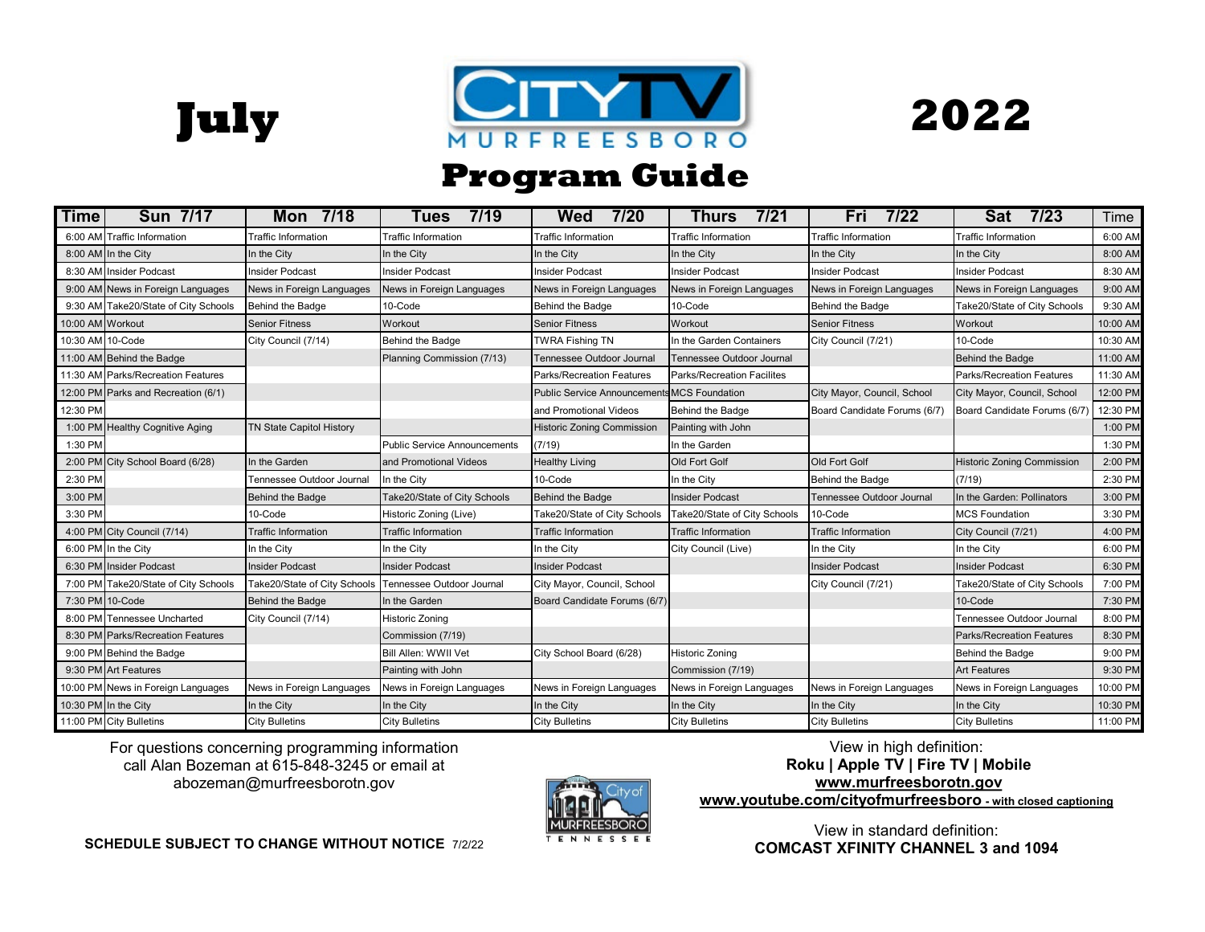





## \* **Program Guide**

| Time             | Sun 7/17                             | Mon 7/18                        | 7/19<br>Tues                        | Wed<br>7/20                                        | 7/21<br><b>Thurs</b>         | Fri<br>7/22                  | <b>Sat</b><br>7/23                | Time     |
|------------------|--------------------------------------|---------------------------------|-------------------------------------|----------------------------------------------------|------------------------------|------------------------------|-----------------------------------|----------|
|                  | 6:00 AM Traffic Information          | Traffic Information             | <b>Traffic Information</b>          | <b>Traffic Information</b>                         | <b>Traffic Information</b>   | <b>Traffic Information</b>   | <b>Traffic Information</b>        | 6:00 AM  |
|                  | 8:00 AM In the City                  | In the City                     | In the City                         | In the City                                        | In the City                  | In the City                  | In the City                       | 8:00 AM  |
|                  | 8:30 AM Insider Podcast              | <b>Insider Podcast</b>          | <b>Insider Podcast</b>              | Insider Podcast                                    | <b>Insider Podcast</b>       | <b>Insider Podcast</b>       | <b>Insider Podcast</b>            | 8:30 AM  |
|                  | 9:00 AM News in Foreign Languages    | News in Foreign Languages       | News in Foreign Languages           | News in Foreign Languages                          | News in Foreign Languages    | News in Foreign Languages    | News in Foreign Languages         | 9:00 AM  |
|                  | 9:30 AM Take20/State of City Schools | Behind the Badge                | 10-Code                             | Behind the Badge                                   | 10-Code                      | Behind the Badge             | Take20/State of City Schools      | 9:30 AM  |
| 10:00 AM Workout |                                      | <b>Senior Fitness</b>           | Workout                             | <b>Senior Fitness</b>                              | Workout                      | <b>Senior Fitness</b>        | Workout                           | 10:00 AM |
| 10:30 AM 10-Code |                                      | City Council (7/14)             | Behind the Badge                    | <b>TWRA Fishing TN</b>                             | In the Garden Containers     | City Council (7/21)          | 10-Code                           | 10:30 AM |
|                  | 11:00 AM Behind the Badge            |                                 | Planning Commission (7/13)          | Tennessee Outdoor Journal                          | Tennessee Outdoor Journal    |                              | Behind the Badge                  | 11:00 AM |
|                  | 11:30 AM Parks/Recreation Features   |                                 |                                     | <b>Parks/Recreation Features</b>                   | Parks/Recreation Facilites   |                              | Parks/Recreation Features         | 11:30 AM |
|                  | 12:00 PM Parks and Recreation (6/1)  |                                 |                                     | <b>Public Service Announcements MCS Foundation</b> |                              | City Mayor, Council, School  | City Mayor, Council, School       | 12:00 PM |
| 12:30 PM         |                                      |                                 |                                     | and Promotional Videos                             | Behind the Badge             | Board Candidate Forums (6/7) | Board Candidate Forums (6/7)      | 12:30 PM |
|                  | 1:00 PM Healthy Cognitive Aging      | <b>TN State Capitol History</b> |                                     | <b>Historic Zoning Commission</b>                  | Painting with John           |                              |                                   | 1:00 PM  |
| 1:30 PM          |                                      |                                 | <b>Public Service Announcements</b> | (7/19)                                             | In the Garden                |                              |                                   | 1:30 PM  |
|                  | 2:00 PM City School Board (6/28)     | In the Garden                   | and Promotional Videos              | <b>Healthy Living</b>                              | Old Fort Golf                | <b>Old Fort Golf</b>         | <b>Historic Zoning Commission</b> | 2:00 PM  |
| 2:30 PM          |                                      | Tennessee Outdoor Journal       | In the City                         | 10-Code                                            | In the City                  | Behind the Badge             | (7/19)                            | 2:30 PM  |
| 3:00 PM          |                                      | Behind the Badge                | Take20/State of City Schools        | <b>Behind the Badge</b>                            | <b>Insider Podcast</b>       | Tennessee Outdoor Journal    | In the Garden: Pollinators        | 3:00 PM  |
| 3:30 PM          |                                      | 10-Code                         | Historic Zoning (Live)              | Take20/State of City Schools                       | Take20/State of City Schools | 10-Code                      | <b>MCS Foundation</b>             | 3:30 PM  |
|                  | 4:00 PM City Council (7/14)          | <b>Traffic Information</b>      | <b>Traffic Information</b>          | <b>Traffic Information</b>                         | <b>Traffic Information</b>   | <b>Traffic Information</b>   | City Council (7/21)               | 4:00 PM  |
|                  | 6:00 PM In the City                  | In the City                     | In the City                         | In the City                                        | City Council (Live)          | In the City                  | In the City                       | 6:00 PM  |
|                  | 6:30 PM Insider Podcast              | <b>Insider Podcast</b>          | <b>Insider Podcast</b>              | <b>Insider Podcast</b>                             |                              | <b>Insider Podcast</b>       | <b>Insider Podcast</b>            | 6:30 PM  |
|                  | 7:00 PM Take20/State of City Schools | Take20/State of City Schools    | Tennessee Outdoor Journal           | City Mayor, Council, School                        |                              | City Council (7/21)          | Take20/State of City Schools      | 7:00 PM  |
|                  | 7:30 PM 10-Code                      | Behind the Badge                | In the Garden                       | Board Candidate Forums (6/7)                       |                              |                              | 10-Code                           | 7:30 PM  |
|                  | 8:00 PM Tennessee Uncharted          | City Council (7/14)             | <b>Historic Zoning</b>              |                                                    |                              |                              | Tennessee Outdoor Journal         | 8:00 PM  |
|                  | 8:30 PM Parks/Recreation Features    |                                 | Commission (7/19)                   |                                                    |                              |                              | <b>Parks/Recreation Features</b>  | 8:30 PM  |
|                  | 9:00 PM Behind the Badge             |                                 | <b>Bill Allen: WWII Vet</b>         | City School Board (6/28)                           | <b>Historic Zoning</b>       |                              | Behind the Badge                  | 9:00 PM  |
|                  | 9:30 PM Art Features                 |                                 | Painting with John                  |                                                    | Commission (7/19)            |                              | <b>Art Features</b>               | 9:30 PM  |
|                  | 10:00 PM News in Foreign Languages   | News in Foreign Languages       | News in Foreign Languages           | News in Foreign Languages                          | News in Foreign Languages    | News in Foreign Languages    | News in Foreign Languages         | 10:00 PM |
|                  | 10:30 PM In the City                 | In the City                     | In the City                         | In the City                                        | In the City                  | In the City                  | In the City                       | 10:30 PM |
|                  | 11:00 PM City Bulletins              | <b>City Bulletins</b>           | <b>City Bulletins</b>               | <b>City Bulletins</b>                              | <b>City Bulletins</b>        | <b>City Bulletins</b>        | <b>City Bulletins</b>             | 11:00 PM |

. abozeman@murfreesborotn.gov For questions concerning programming information call Alan Bozeman at 615-848-3245 or email at



. **www.youtube.com/cityofmurfreesboro - with closed captioning**  View in high definition: **Roku | Apple TV | Fire TV | Mobile www.murfreesborotn.gov**

View in standard definition: **COMCAST XFINITY CHANNEL 3 and 1094**

**SCHEDULE SUBJECT TO CHANGE WITHOUT NOTICE** 7/2/22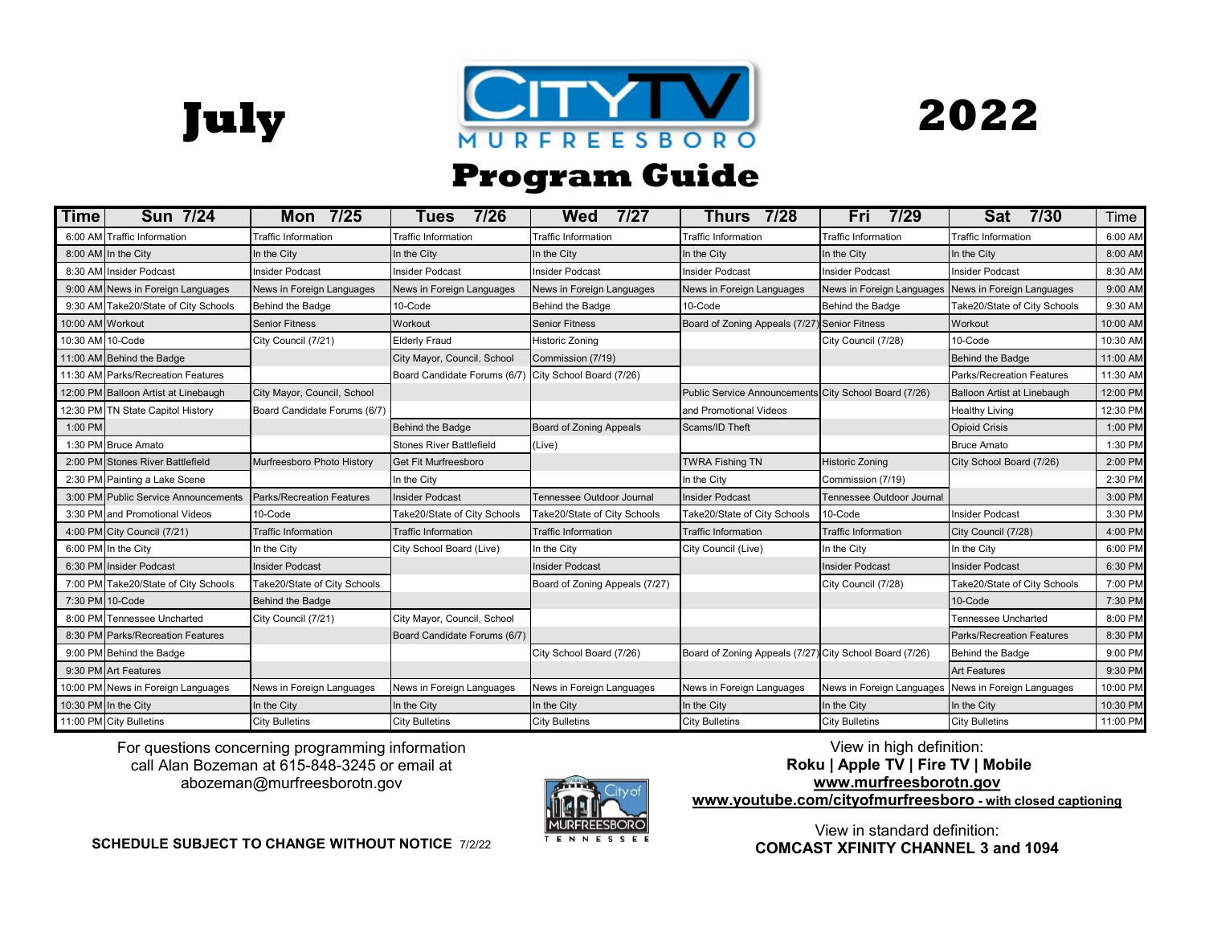





## \* **Program Guide**

| Time             | <b>Sun 7/24</b>                      | Mon 7/25                         | 7/26<br>Tues                                          | 7/27<br>Wed                    | Thurs 7/28                                              | 7/29<br>Fri                | 7/30<br>Sat                      | Time     |
|------------------|--------------------------------------|----------------------------------|-------------------------------------------------------|--------------------------------|---------------------------------------------------------|----------------------------|----------------------------------|----------|
|                  | 6:00 AM Traffic Information          | <b>Traffic Information</b>       | <b>Traffic Information</b>                            | <b>Traffic Information</b>     | <b>Traffic Information</b>                              | <b>Traffic Information</b> | <b>Traffic Information</b>       | 6:00 AM  |
|                  | 8:00 AM In the City                  | In the City                      | In the City                                           | In the City                    | In the City                                             | In the City                | In the City                      | 8:00 AM  |
|                  | 8:30 AM Insider Podcast              | <b>Insider Podcast</b>           | <b>Insider Podcast</b>                                | <b>Insider Podcast</b>         | <b>Insider Podcast</b>                                  | <b>Insider Podcast</b>     | <b>Insider Podcast</b>           | 8:30 AM  |
|                  | 9:00 AM News in Foreign Languages    | News in Foreign Languages        | News in Foreign Languages                             | News in Foreign Languages      | News in Foreign Languages                               | News in Foreign Languages  | News in Foreign Languages        | 9:00 AM  |
|                  | 9:30 AM Take20/State of City Schools | Behind the Badge                 | 10-Code                                               | Behind the Badge               | 10-Code                                                 | Behind the Badge           | Take20/State of City Schools     | 9:30 AM  |
| 10:00 AM Workout |                                      | <b>Senior Fitness</b>            | Workout                                               | <b>Senior Fitness</b>          | Board of Zoning Appeals (7/27)                          | <b>Senior Fitness</b>      | Workout                          | 10:00 AM |
| 10:30 AM 10-Code |                                      | City Council (7/21)              | <b>Elderly Fraud</b>                                  | <b>Historic Zoning</b>         |                                                         | City Council (7/28)        | 10-Code                          | 10:30 AM |
|                  | 11:00 AM Behind the Badge            |                                  | City Mayor, Council, School                           | Commission (7/19)              |                                                         |                            | Behind the Badge                 | 11:00 AM |
|                  | 11:30 AM Parks/Recreation Features   |                                  | Board Candidate Forums (6/7) City School Board (7/26) |                                |                                                         |                            | <b>Parks/Recreation Features</b> | 11:30 AM |
|                  | 12:00 PM Balloon Artist at Linebaugh | City Mayor, Council, School      |                                                       |                                | Public Service Announcements City School Board (7/26)   |                            | Balloon Artist at Linebaugh      | 12:00 PM |
|                  | 12:30 PM TN State Capitol History    | Board Candidate Forums (6/7)     |                                                       |                                | and Promotional Videos                                  |                            | <b>Healthy Living</b>            | 12:30 PM |
| 1:00 PM          |                                      |                                  | <b>Behind the Badge</b>                               | Board of Zoning Appeals        | Scams/ID Theft                                          |                            | <b>Opioid Crisis</b>             | 1:00 PM  |
|                  | 1:30 PM Bruce Amato                  |                                  | <b>Stones River Battlefield</b>                       | (Live)                         |                                                         |                            | <b>Bruce Amato</b>               | 1:30 PM  |
|                  | 2:00 PM Stones River Battlefield     | Murfreesboro Photo History       | <b>Get Fit Murfreesboro</b>                           |                                | <b>TWRA Fishing TN</b>                                  | <b>Historic Zoning</b>     | City School Board (7/26)         | 2:00 PM  |
|                  | 2:30 PM Painting a Lake Scene        |                                  | In the City                                           |                                | In the City                                             | Commission (7/19)          |                                  | 2:30 PM  |
|                  | 3:00 PM Public Service Announcements | <b>Parks/Recreation Features</b> | <b>Insider Podcast</b>                                | Tennessee Outdoor Journal      | <b>Insider Podcast</b>                                  | Tennessee Outdoor Journal  |                                  | 3:00 PM  |
|                  | 3:30 PM and Promotional Videos       | 10-Code                          | Take20/State of City Schools                          | Take20/State of City Schools   | Take20/State of City Schools                            | 10-Code                    | <b>Insider Podcast</b>           | 3:30 PM  |
|                  | 4:00 PM City Council (7/21)          | <b>Traffic Information</b>       | <b>Traffic Information</b>                            | <b>Traffic Information</b>     | <b>Traffic Information</b>                              | <b>Traffic Information</b> | City Council (7/28)              | 4:00 PM  |
|                  | 6:00 PM In the City                  | In the City                      | City School Board (Live)                              | In the City                    | City Council (Live)                                     | In the City                | In the City                      | 6:00 PM  |
|                  | 6:30 PM Insider Podcast              | <b>Insider Podcast</b>           |                                                       | <b>Insider Podcast</b>         |                                                         | <b>Insider Podcast</b>     | <b>Insider Podcast</b>           | 6:30 PM  |
|                  | 7:00 PM Take20/State of City Schools | Take20/State of City Schools     |                                                       | Board of Zoning Appeals (7/27) |                                                         | City Council (7/28)        | Take20/State of City Schools     | 7:00 PM  |
|                  | 7:30 PM 10-Code                      | Behind the Badge                 |                                                       |                                |                                                         |                            | 10-Code                          | 7:30 PM  |
|                  | 8:00 PM Tennessee Uncharted          | City Council (7/21)              | City Mayor, Council, School                           |                                |                                                         |                            | Tennessee Uncharted              | 8:00 PM  |
|                  | 8:30 PM Parks/Recreation Features    |                                  | Board Candidate Forums (6/7)                          |                                |                                                         |                            | <b>Parks/Recreation Features</b> | 8:30 PM  |
|                  | 9:00 PM Behind the Badge             |                                  |                                                       | City School Board (7/26)       | Board of Zoning Appeals (7/27) City School Board (7/26) |                            | Behind the Badge                 | 9:00 PM  |
|                  | 9:30 PM Art Features                 |                                  |                                                       |                                |                                                         |                            | <b>Art Features</b>              | 9:30 PM  |
|                  | 10:00 PM News in Foreign Languages   | News in Foreign Languages        | News in Foreign Languages                             | News in Foreign Languages      | News in Foreign Languages                               | News in Foreign Languages  | News in Foreign Languages        | 10:00 PM |
|                  | 10:30 PM In the City                 | In the City                      | In the City                                           | In the City                    | In the City                                             | In the City                | In the City                      | 10:30 PM |
|                  | 11:00 PM City Bulletins              | <b>City Bulletins</b>            | <b>City Bulletins</b>                                 | <b>City Bulletins</b>          | <b>City Bulletins</b>                                   | <b>City Bulletins</b>      | <b>City Bulletins</b>            | 11:00 PM |

. abozeman@murfreesborotn.gov For questions concerning programming information call Alan Bozeman at 615-848-3245 or email at



View in high definition: **Roku | Apple TV | Fire TV | Mobile** 

**www.murfreesborotn.gov**

. **www.youtube.com/cityofmurfreesboro - with closed captioning** 

**SCHEDULE SUBJECT TO CHANGE WITHOUT NOTICE** 7/2/22

View in standard definition: **COMCAST XFINITY CHANNEL 3 and 1094**